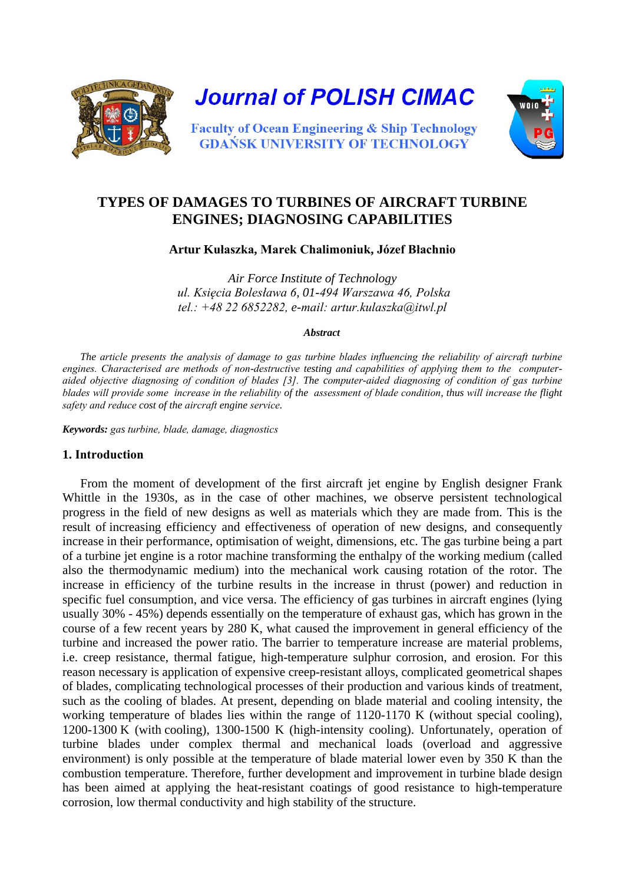

# **TYPES OF DAMAGES TO TURBINES OF AIRCRAFT TURBINE ENGINES; DIAGNOSING CAPABILITIES**

**Artur Kułaszka, Marek Chalimoniuk, Józef Błachnio**

*Air Force Institute of Technology ul. Księcia Bolesława 6, 01-494 Warszawa 46, Polska tel.: +48 22 6852282, e-mail: artur.kulaszka@itwl.pl*

#### *Abstract*

*The article presents the analysis of damage to gas turbine blades influencing the reliability of aircraft turbine engines. Characterised are methods of non-destructive testing and capabilities of applying them to the computeraided objective diagnosing of condition of blades [3]. The computer-aided diagnosing of condition of gas turbine blades will provide some increase in the reliability of the assessment of blade condition, thus will increase the flight safety and reduce cost of the aircraft engine service.* 

*Keywords: gas turbine, blade, damage, diagnostics*

# **1. Introduction**

From the moment of development of the first aircraft jet engine by English designer Frank Whittle in the 1930s, as in the case of other machines, we observe persistent technological progress in the field of new designs as well as materials which they are made from. This is the result of increasing efficiency and effectiveness of operation of new designs, and consequently increase in their performance, optimisation of weight, dimensions, etc. The gas turbine being a part of a turbine jet engine is a rotor machine transforming the enthalpy of the working medium (called also the thermodynamic medium) into the mechanical work causing rotation of the rotor. The increase in efficiency of the turbine results in the increase in thrust (power) and reduction in specific fuel consumption, and vice versa. The efficiency of gas turbines in aircraft engines (lying usually 30% - 45%) depends essentially on the temperature of exhaust gas, which has grown in the course of a few recent years by 280 K, what caused the improvement in general efficiency of the turbine and increased the power ratio. The barrier to temperature increase are material problems, i.e. creep resistance, thermal fatigue, high-temperature sulphur corrosion, and erosion. For this reason necessary is application of expensive creep-resistant alloys, complicated geometrical shapes of blades, complicating technological processes of their production and various kinds of treatment, such as the cooling of blades. At present, depending on blade material and cooling intensity, the working temperature of blades lies within the range of 1120-1170 K (without special cooling), 1200-1300 K (with cooling), 1300-1500 K (high-intensity cooling). Unfortunately, operation of turbine blades under complex thermal and mechanical loads (overload and aggressive environment) is only possible at the temperature of blade material lower even by 350 K than the combustion temperature. Therefore, further development and improvement in turbine blade design has been aimed at applying the heat-resistant coatings of good resistance to high-temperature corrosion, low thermal conductivity and high stability of the structure.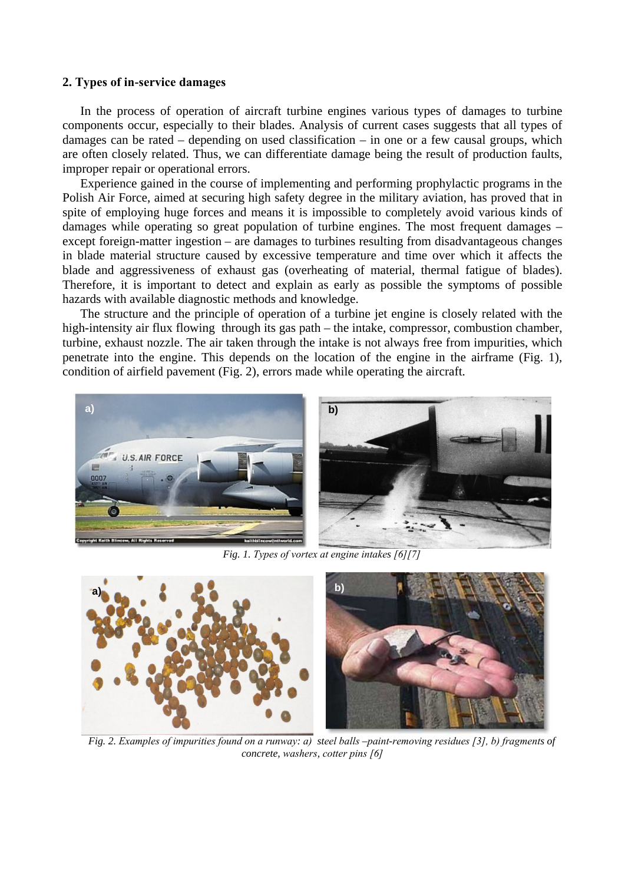### **2. Types of in-service damages**

In the process of operation of aircraft turbine engines various types of damages to turbine components occur, especially to their blades. Analysis of current cases suggests that all types of damages can be rated – depending on used classification – in one or a few causal groups, which are often closely related. Thus, we can differentiate damage being the result of production faults, improper repair or operational errors.

Experience gained in the course of implementing and performing prophylactic programs in the Polish Air Force, aimed at securing high safety degree in the military aviation, has proved that in spite of employing huge forces and means it is impossible to completely avoid various kinds of damages while operating so great population of turbine engines. The most frequent damages – except foreign-matter ingestion – are damages to turbines resulting from disadvantageous changes in blade material structure caused by excessive temperature and time over which it affects the blade and aggressiveness of exhaust gas (overheating of material, thermal fatigue of blades). Therefore, it is important to detect and explain as early as possible the symptoms of possible hazards with available diagnostic methods and knowledge.

The structure and the principle of operation of a turbine jet engine is closely related with the high-intensity air flux flowing through its gas path – the intake, compressor, combustion chamber, turbine, exhaust nozzle. The air taken through the intake is not always free from impurities, which penetrate into the engine. This depends on the location of the engine in the airframe (Fig. 1), condition of airfield pavement (Fig. 2), errors made while operating the aircraft.



*Fig. 1. Types of vortex at engine intakes [6][7]*



 *Fig. 2. Examples of impurities found on a runway: a) steel balls –paint-removing residues [3], b) fragments of concrete, washers, cotter pins [6]*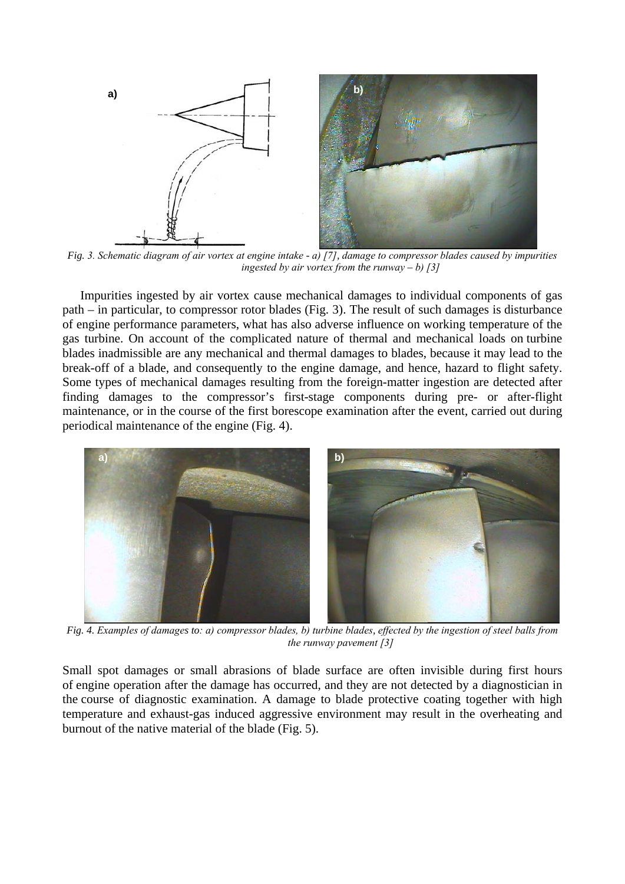

 *Fig. 3. Schematic diagram of air vortex at engine intake - a) [7], damage to compressor blades caused by impurities ingested by air vortex from the runway*  $- b$ *)* [3]

Impurities ingested by air vortex cause mechanical damages to individual components of gas path – in particular, to compressor rotor blades (Fig. 3). The result of such damages is disturbance of engine performance parameters, what has also adverse influence on working temperature of the gas turbine. On account of the complicated nature of thermal and mechanical loads on turbine blades inadmissible are any mechanical and thermal damages to blades, because it may lead to the break-off of a blade, and consequently to the engine damage, and hence, hazard to flight safety. Some types of mechanical damages resulting from the foreign-matter ingestion are detected after finding damages to the compressor's first-stage components during pre- or after-flight maintenance, or in the course of the first borescope examination after the event, carried out during periodical maintenance of the engine (Fig. 4).



 *Fig. 4. Examples of damages to: a) compressor blades, b) turbine blades, effected by the ingestion of steel balls from the runway pavement [3]*

Small spot damages or small abrasions of blade surface are often invisible during first hours of engine operation after the damage has occurred, and they are not detected by a diagnostician in the course of diagnostic examination. A damage to blade protective coating together with high temperature and exhaust-gas induced aggressive environment may result in the overheating and burnout of the native material of the blade (Fig. 5).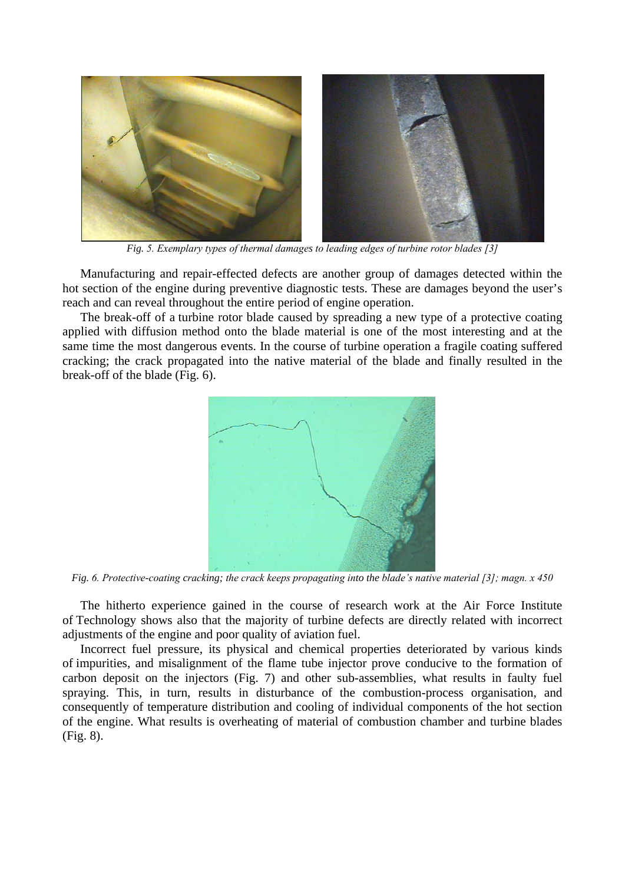

*Fig. 5. Exemplary types of thermal damages to leading edges of turbine rotor blades [3]*

Manufacturing and repair-effected defects are another group of damages detected within the hot section of the engine during preventive diagnostic tests. These are damages beyond the user's reach and can reveal throughout the entire period of engine operation.

The break-off of a turbine rotor blade caused by spreading a new type of a protective coating applied with diffusion method onto the blade material is one of the most interesting and at the same time the most dangerous events. In the course of turbine operation a fragile coating suffered cracking; the crack propagated into the native material of the blade and finally resulted in the break-off of the blade (Fig. 6).



*Fig. 6. Protective-coating cracking; the crack keeps propagating into the blade's native material [3]; magn. x 450*

The hitherto experience gained in the course of research work at the Air Force Institute of Technology shows also that the majority of turbine defects are directly related with incorrect adjustments of the engine and poor quality of aviation fuel.

Incorrect fuel pressure, its physical and chemical properties deteriorated by various kinds of impurities, and misalignment of the flame tube injector prove conducive to the formation of carbon deposit on the injectors (Fig. 7) and other sub-assemblies, what results in faulty fuel spraying. This, in turn, results in disturbance of the combustion-process organisation, and consequently of temperature distribution and cooling of individual components of the hot section of the engine. What results is overheating of material of combustion chamber and turbine blades (Fig. 8).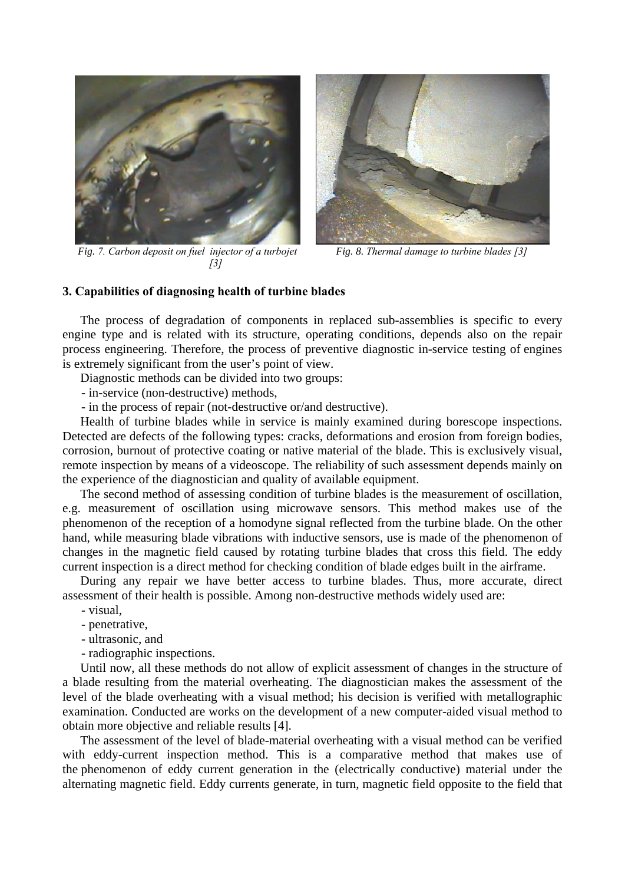

*Fig. 7. Carbon deposit on fuel injector of a turbojet [3]*



*Fig. 8. Thermal damage to turbine blades [3]*

# **3. Capabilities of diagnosing health of turbine blades**

The process of degradation of components in replaced sub-assemblies is specific to every engine type and is related with its structure, operating conditions, depends also on the repair process engineering. Therefore, the process of preventive diagnostic in-service testing of engines is extremely significant from the user's point of view.

Diagnostic methods can be divided into two groups:

- in-service (non-destructive) methods,

- in the process of repair (not-destructive or/and destructive).

Health of turbine blades while in service is mainly examined during borescope inspections. Detected are defects of the following types: cracks, deformations and erosion from foreign bodies, corrosion, burnout of protective coating or native material of the blade. This is exclusively visual, remote inspection by means of a videoscope. The reliability of such assessment depends mainly on the experience of the diagnostician and quality of available equipment.

The second method of assessing condition of turbine blades is the measurement of oscillation, e.g. measurement of oscillation using microwave sensors. This method makes use of the phenomenon of the reception of a homodyne signal reflected from the turbine blade. On the other hand, while measuring blade vibrations with inductive sensors, use is made of the phenomenon of changes in the magnetic field caused by rotating turbine blades that cross this field. The eddy current inspection is a direct method for checking condition of blade edges built in the airframe.

During any repair we have better access to turbine blades. Thus, more accurate, direct assessment of their health is possible. Among non-destructive methods widely used are:

- visual,
- penetrative,
- ultrasonic, and
- radiographic inspections.

Until now, all these methods do not allow of explicit assessment of changes in the structure of a blade resulting from the material overheating. The diagnostician makes the assessment of the level of the blade overheating with a visual method; his decision is verified with metallographic examination. Conducted are works on the development of a new computer-aided visual method to obtain more objective and reliable results [4].

The assessment of the level of blade-material overheating with a visual method can be verified with eddy-current inspection method. This is a comparative method that makes use of the phenomenon of eddy current generation in the (electrically conductive) material under the alternating magnetic field. Eddy currents generate, in turn, magnetic field opposite to the field that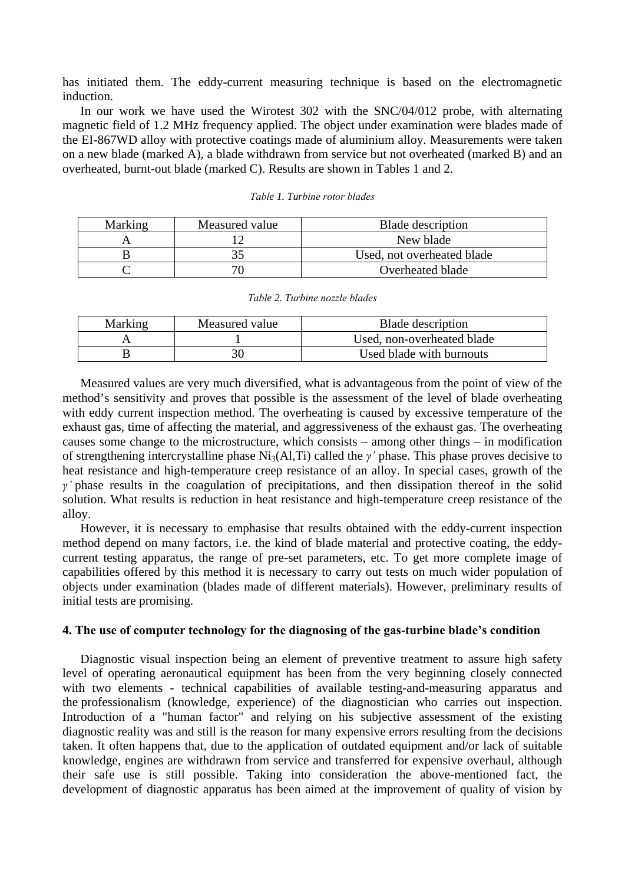has initiated them. The eddy-current measuring technique is based on the electromagnetic induction.

In our work we have used the Wirotest 302 with the SNC/04/012 probe, with alternating magnetic field of 1.2 MHz frequency applied. The object under examination were blades made of the EI-867WD alloy with protective coatings made of aluminium alloy. Measurements were taken on a new blade (marked A), a blade withdrawn from service but not overheated (marked B) and an overheated, burnt-out blade (marked C). Results are shown in Tables 1 and 2.

| Marking | Measured value | Blade description          |
|---------|----------------|----------------------------|
|         |                | New blade                  |
|         |                | Used, not overheated blade |
|         |                | Overheated blade           |

| Marking | Measured value | Blade description          |
|---------|----------------|----------------------------|
|         |                | Used, non-overheated blade |
|         |                | Used blade with burnouts   |

Measured values are very much diversified, what is advantageous from the point of view of the method's sensitivity and proves that possible is the assessment of the level of blade overheating with eddy current inspection method. The overheating is caused by excessive temperature of the exhaust gas, time of affecting the material, and aggressiveness of the exhaust gas. The overheating causes some change to the microstructure, which consists – among other things – in modification of strengthening intercrystalline phase Ni3(Al,Ti) called the *γ'* phase. This phase proves decisive to heat resistance and high-temperature creep resistance of an alloy. In special cases, growth of the *γ'* phase results in the coagulation of precipitations, and then dissipation thereof in the solid solution. What results is reduction in heat resistance and high-temperature creep resistance of the alloy.

However, it is necessary to emphasise that results obtained with the eddy-current inspection method depend on many factors, i.e. the kind of blade material and protective coating, the eddycurrent testing apparatus, the range of pre-set parameters, etc. To get more complete image of capabilities offered by this method it is necessary to carry out tests on much wider population of objects under examination (blades made of different materials). However, preliminary results of initial tests are promising.

## **4. The use of computer technology for the diagnosing of the gas-turbine blade's condition**

Diagnostic visual inspection being an element of preventive treatment to assure high safety level of operating aeronautical equipment has been from the very beginning closely connected with two elements - technical capabilities of available testing-and-measuring apparatus and the professionalism (knowledge, experience) of the diagnostician who carries out inspection. Introduction of a "human factor" and relying on his subjective assessment of the existing diagnostic reality was and still is the reason for many expensive errors resulting from the decisions taken. It often happens that, due to the application of outdated equipment and/or lack of suitable knowledge, engines are withdrawn from service and transferred for expensive overhaul, although their safe use is still possible. Taking into consideration the above-mentioned fact, the development of diagnostic apparatus has been aimed at the improvement of quality of vision by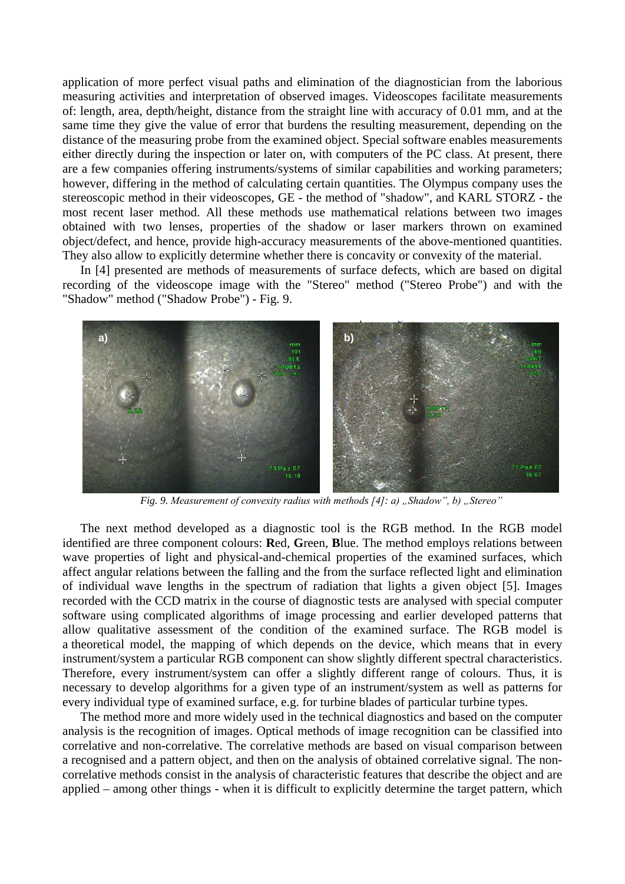application of more perfect visual paths and elimination of the diagnostician from the laborious measuring activities and interpretation of observed images. Videoscopes facilitate measurements of: length, area, depth/height, distance from the straight line with accuracy of 0.01 mm, and at the same time they give the value of error that burdens the resulting measurement, depending on the distance of the measuring probe from the examined object. Special software enables measurements either directly during the inspection or later on, with computers of the PC class. At present, there are a few companies offering instruments/systems of similar capabilities and working parameters; however, differing in the method of calculating certain quantities. The Olympus company uses the stereoscopic method in their videoscopes, GE - the method of "shadow", and KARL STORZ - the most recent laser method. All these methods use mathematical relations between two images obtained with two lenses, properties of the shadow or laser markers thrown on examined object/defect, and hence, provide high-accuracy measurements of the above-mentioned quantities. They also allow to explicitly determine whether there is concavity or convexity of the material.

In [4] presented are methods of measurements of surface defects, which are based on digital recording of the videoscope image with the "Stereo" method ("Stereo Probe") and with the "Shadow" method ("Shadow Probe") - Fig. 9.



*Fig. 9. Measurement of convexity radius with methods [4]: a) "Shadow", b) "Stereo"* 

The next method developed as a diagnostic tool is the RGB method. In the RGB model identified are three component colours: **R**ed, **G**reen, **B**lue. The method employs relations between wave properties of light and physical-and-chemical properties of the examined surfaces, which affect angular relations between the falling and the from the surface reflected light and elimination of individual wave lengths in the spectrum of radiation that lights a given object [5]. Images recorded with the CCD matrix in the course of diagnostic tests are analysed with special computer software using complicated algorithms of image processing and earlier developed patterns that allow qualitative assessment of the condition of the examined surface. The RGB model is a theoretical model, the mapping of which depends on the device, which means that in every instrument/system a particular RGB component can show slightly different spectral characteristics. Therefore, every instrument/system can offer a slightly different range of colours. Thus, it is necessary to develop algorithms for a given type of an instrument/system as well as patterns for every individual type of examined surface, e.g. for turbine blades of particular turbine types.

The method more and more widely used in the technical diagnostics and based on the computer analysis is the recognition of images. Optical methods of image recognition can be classified into correlative and non-correlative. The correlative methods are based on visual comparison between a recognised and a pattern object, and then on the analysis of obtained correlative signal. The noncorrelative methods consist in the analysis of characteristic features that describe the object and are applied – among other things - when it is difficult to explicitly determine the target pattern, which